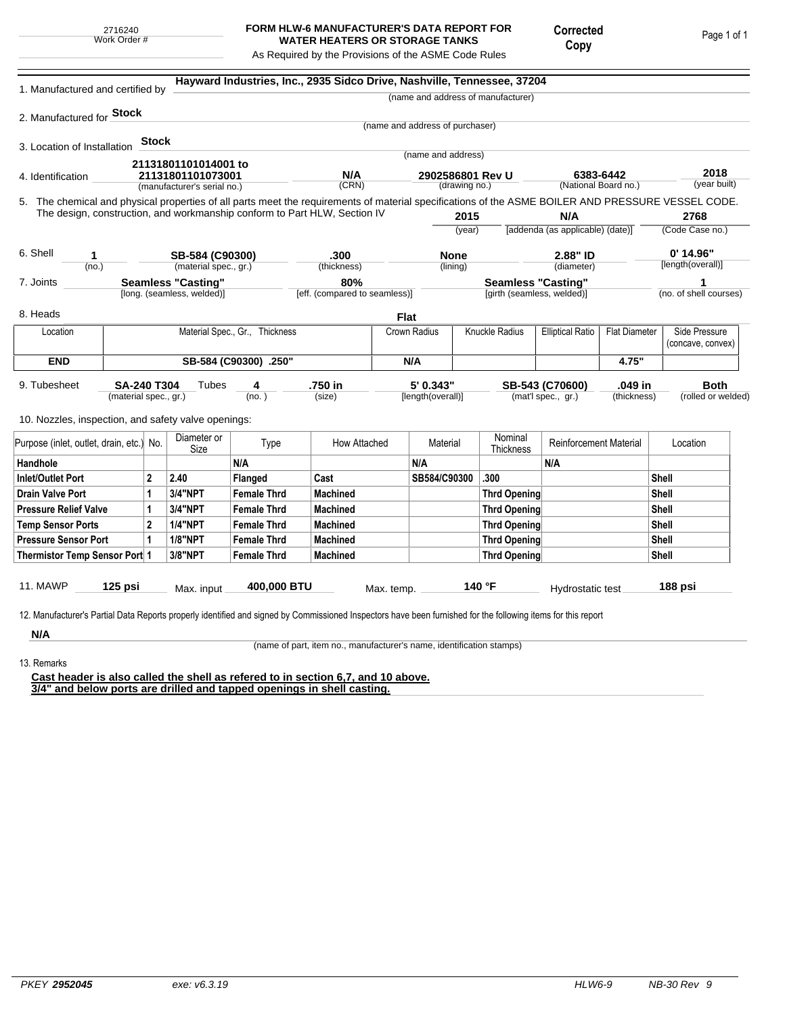## **FORM HLW-6 MANUFACTURER'S DATA REPORT FOR WATER HEATERS OR STORAGE TANKS**

Corrected Copy

Page 1 of 1

As Required by the Provisions of the ASME Code Rules

| 1. Manufactured and certified by                                                                                                                   |                       |                                |                                                                                   |                    |                                                                           |                                       |                                 | Hayward Industries, Inc., 2935 Sidco Drive, Nashville, Tennessee, 37204 |                                   |                      |                        |
|----------------------------------------------------------------------------------------------------------------------------------------------------|-----------------------|--------------------------------|-----------------------------------------------------------------------------------|--------------------|---------------------------------------------------------------------------|---------------------------------------|---------------------------------|-------------------------------------------------------------------------|-----------------------------------|----------------------|------------------------|
|                                                                                                                                                    |                       |                                |                                                                                   |                    |                                                                           |                                       |                                 | (name and address of manufacturer)                                      |                                   |                      |                        |
| 2. Manufactured for <b>Stock</b>                                                                                                                   |                       |                                |                                                                                   |                    |                                                                           |                                       | (name and address of purchaser) |                                                                         |                                   |                      |                        |
|                                                                                                                                                    |                       | <b>Stock</b>                   |                                                                                   |                    |                                                                           |                                       |                                 |                                                                         |                                   |                      |                        |
| 3. Location of Installation                                                                                                                        |                       |                                |                                                                                   |                    |                                                                           |                                       | (name and address)              |                                                                         |                                   |                      |                        |
|                                                                                                                                                    | 21131801101014001 to  |                                |                                                                                   |                    |                                                                           |                                       |                                 |                                                                         |                                   |                      | 2018                   |
| 4. Identification                                                                                                                                  |                       |                                | 21131801101073001<br>(manufacturer's serial no.)                                  | N/A<br>(CRN)       |                                                                           | 2902586801 Rev U<br>(drawing no.)     |                                 |                                                                         | 6383-6442<br>(National Board no.) |                      | (year built)           |
| 5. The chemical and physical properties of all parts meet the requirements of material specifications of the ASME BOILER AND PRESSURE VESSEL CODE. |                       |                                |                                                                                   |                    |                                                                           |                                       |                                 |                                                                         |                                   |                      |                        |
|                                                                                                                                                    |                       |                                |                                                                                   |                    | The design, construction, and workmanship conform to Part HLW, Section IV |                                       | 2015                            |                                                                         | N/A                               |                      | 2768                   |
|                                                                                                                                                    |                       |                                |                                                                                   |                    |                                                                           |                                       | (year)                          |                                                                         | [addenda (as applicable) (date)]  |                      | (Code Case no.)        |
| 6. Shell<br>1                                                                                                                                      |                       |                                |                                                                                   |                    | .300                                                                      |                                       | <b>None</b>                     |                                                                         | 2.88" ID                          |                      | $0'$ 14.96"            |
| (no.)                                                                                                                                              |                       |                                | SB-584 (C90300)<br>(material spec., gr.)<br>(thickness)<br>(lining)<br>(diameter) |                    |                                                                           |                                       |                                 | [length(overall)]                                                       |                                   |                      |                        |
| 7. Joints                                                                                                                                          |                       |                                | <b>Seamless "Casting"</b>                                                         |                    | 80%                                                                       |                                       | <b>Seamless "Casting"</b>       |                                                                         |                                   |                      | 1                      |
|                                                                                                                                                    |                       |                                | [long. (seamless, welded)]                                                        |                    | [eff. (compared to seamless)]                                             |                                       |                                 |                                                                         | [girth (seamless, welded)]        |                      | (no. of shell courses) |
| 8. Heads                                                                                                                                           |                       |                                |                                                                                   |                    |                                                                           | <b>Flat</b>                           |                                 |                                                                         |                                   |                      |                        |
| Location                                                                                                                                           |                       | Material Spec., Gr., Thickness |                                                                                   |                    |                                                                           | Knuckle Radius<br><b>Crown Radius</b> |                                 |                                                                         | <b>Elliptical Ratio</b>           | <b>Flat Diameter</b> | Side Pressure          |
|                                                                                                                                                    |                       |                                |                                                                                   |                    |                                                                           |                                       |                                 |                                                                         |                                   |                      | (concave, convex)      |
| <b>END</b>                                                                                                                                         | SB-584 (C90300) .250" |                                |                                                                                   |                    |                                                                           | N/A                                   |                                 |                                                                         | 4.75"                             |                      |                        |
| 9. Tubesheet                                                                                                                                       | <b>SA-240 T304</b>    |                                | Tubes                                                                             | 4                  | .750 in                                                                   |                                       | 5' 0.343"                       |                                                                         | SB-543 (C70600)                   | .049 in              | <b>Both</b>            |
|                                                                                                                                                    | (material spec., gr.) |                                |                                                                                   | (no. )             | (size)                                                                    |                                       | [length(overall)]               |                                                                         | (mat'l spec., gr.)                | (thickness)          | (rolled or welded)     |
| 10. Nozzles, inspection, and safety valve openings:                                                                                                |                       |                                |                                                                                   |                    |                                                                           |                                       |                                 |                                                                         |                                   |                      |                        |
|                                                                                                                                                    |                       |                                |                                                                                   |                    |                                                                           |                                       |                                 | Nominal                                                                 |                                   |                      |                        |
| Purpose (inlet, outlet, drain, etc.) No.                                                                                                           |                       |                                | Diameter or<br>Size                                                               | Type               | How Attached                                                              |                                       | Material                        | Thickness                                                               | <b>Reinforcement Material</b>     |                      | Location               |
| Handhole                                                                                                                                           |                       |                                |                                                                                   | N/A                |                                                                           |                                       | N/A                             |                                                                         | N/A                               |                      |                        |
| <b>Inlet/Outlet Port</b>                                                                                                                           |                       | $\mathbf{2}$                   | 2.40                                                                              | Flanged            | Cast                                                                      |                                       | SB584/C90300                    | .300                                                                    |                                   |                      | <b>Shell</b>           |
| Drain Valve Port                                                                                                                                   |                       | 1                              | 3/4"NPT                                                                           | <b>Female Thrd</b> | <b>Machined</b>                                                           |                                       |                                 | <b>Thrd Opening</b>                                                     |                                   |                      | Shell                  |
| <b>Pressure Relief Valve</b>                                                                                                                       |                       | 1                              | <b>3/4"NPT</b>                                                                    | <b>Female Thrd</b> | <b>Machined</b>                                                           |                                       |                                 | <b>Thrd Opening</b>                                                     |                                   |                      | Shell                  |
| <b>Temp Sensor Ports</b>                                                                                                                           |                       | $\mathbf{2}$                   | <b>1/4"NPT</b>                                                                    | <b>Female Thrd</b> | <b>Machined</b>                                                           |                                       |                                 | Thrd Opening                                                            |                                   |                      | Shell                  |
| <b>Pressure Sensor Port</b>                                                                                                                        |                       | 1                              | <b>1/8"NPT</b>                                                                    | <b>Female Thrd</b> | <b>Machined</b>                                                           |                                       |                                 | Thrd Opening                                                            |                                   |                      | Shell                  |
| Thermistor Temp Sensor Port 1                                                                                                                      |                       |                                | 3/8"NPT                                                                           | <b>Female Thrd</b> | <b>Machined</b>                                                           |                                       |                                 | <b>Thrd Opening</b>                                                     |                                   |                      | Shell                  |
|                                                                                                                                                    |                       |                                |                                                                                   |                    |                                                                           |                                       |                                 |                                                                         |                                   |                      |                        |
| 11. MAWP                                                                                                                                           | $125$ psi             |                                | Max. input                                                                        | 400,000 BTU        |                                                                           | Max. temp.                            |                                 | 140 °F                                                                  | Hydrostatic test                  |                      | 188 psi                |

**N/A** 13. Remarks

(name of part, item no., manufacturer's name, identification stamps)

**Cast header is also called the shell as refered to in section 6,7, and 10 above. 3/4" and below ports are drilled and tapped openings in shell casting.**